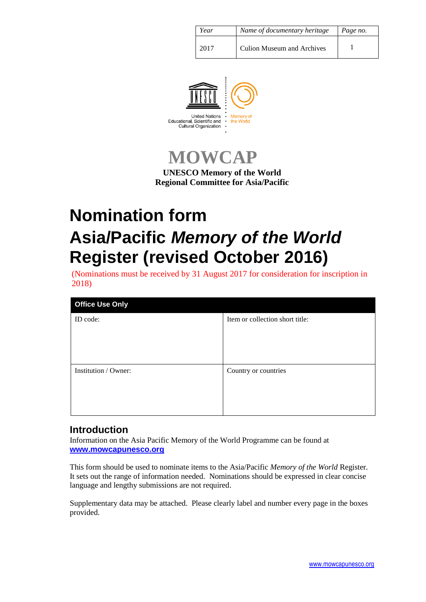| Year | Name of documentary heritage      | Page no. |
|------|-----------------------------------|----------|
| 2017 | <b>Culion Museum and Archives</b> |          |



**MOWCAP**

**UNESCO Memory of the World Regional Committee for Asia/Pacific**

# **Nomination form Asia/Pacific** *Memory of the World* **Register (revised October 2016)**

(Nominations must be received by 31 August 2017 for consideration for inscription in 2018)

| <b>Office Use Only</b> |                                 |  |  |
|------------------------|---------------------------------|--|--|
| ID code:               | Item or collection short title: |  |  |
|                        |                                 |  |  |
|                        |                                 |  |  |
|                        |                                 |  |  |
| Institution / Owner:   | Country or countries            |  |  |
|                        |                                 |  |  |
|                        |                                 |  |  |
|                        |                                 |  |  |

## **Introduction**

Information on the Asia Pacific Memory of the World Programme can be found at **[www.mowcapunesco.org](http://www.mowcapunesco.org/)**

This form should be used to nominate items to the Asia/Pacific *Memory of the World* Register. It sets out the range of information needed. Nominations should be expressed in clear concise language and lengthy submissions are not required.

Supplementary data may be attached. Please clearly label and number every page in the boxes provided.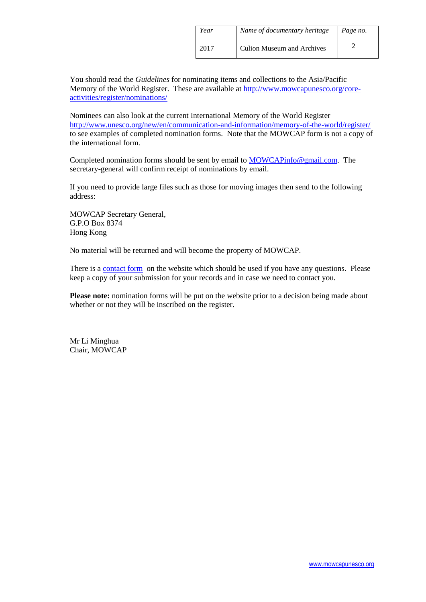| Year | Name of documentary heritage | Page no. |
|------|------------------------------|----------|
| 2017 | Culion Museum and Archives   |          |

You should read the *Guidelines* for nominating items and collections to the Asia/Pacific Memory of the World Register. These are available at [http://www.mowcapunesco.org/core](http://www.mowcapunesco.org/core-activities/register/nominations/)[activities/register/nominations/](http://www.mowcapunesco.org/core-activities/register/nominations/)

Nominees can also look at the current International Memory of the World Register <http://www.unesco.org/new/en/communication-and-information/memory-of-the-world/register/> to see examples of completed nomination forms. Note that the MOWCAP form is not a copy of the international form.

Completed nomination forms should be sent by email to **MOWCAP**info@gmail.com. The secretary-general will confirm receipt of nominations by email.

If you need to provide large files such as those for moving images then send to the following address:

MOWCAP Secretary General, G.P.O Box 8374 Hong Kong

No material will be returned and will become the property of MOWCAP.

There is a [contact form](http://www.mowcapunesco.org/contact/) on the website which should be used if you have any questions. Please keep a copy of your submission for your records and in case we need to contact you.

**Please note:** nomination forms will be put on the website prior to a decision being made about whether or not they will be inscribed on the register.

Mr Li Minghua Chair, MOWCAP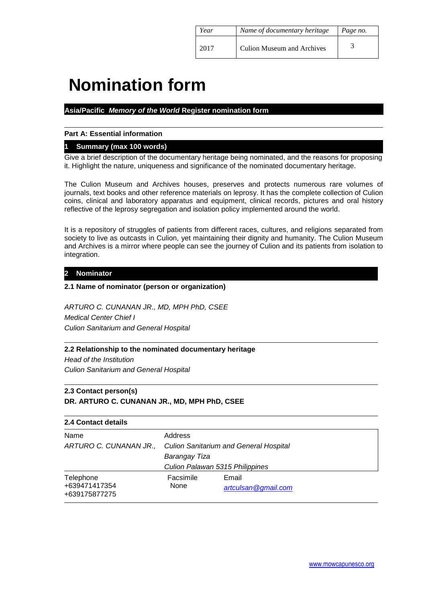| Year | Name of documentary heritage      | Page no. |
|------|-----------------------------------|----------|
| 2017 | <b>Culion Museum and Archives</b> |          |

## **Nomination form**

## **Asia/Pacific** *Memory of the World* **Register nomination form**

## **Part A: Essential information**

## **1 Summary (max 100 words)**

Give a brief description of the documentary heritage being nominated, and the reasons for proposing it. Highlight the nature, uniqueness and significance of the nominated documentary heritage.

The Culion Museum and Archives houses, preserves and protects numerous rare volumes of journals, text books and other reference materials on leprosy. It has the complete collection of Culion coins, clinical and laboratory apparatus and equipment, clinical records, pictures and oral history reflective of the leprosy segregation and isolation policy implemented around the world.

It is a repository of struggles of patients from different races, cultures, and religions separated from society to live as outcasts in Culion, yet maintaining their dignity and humanity. The Culion Museum and Archives is a mirror where people can see the journey of Culion and its patients from isolation to integration.

## **2 Nominator**

## **2.1 Name of nominator (person or organization)**

*ARTURO C. CUNANAN JR., MD, MPH PhD, CSEE Medical Center Chief I Culion Sanitarium and General Hospital*

## **2.2 Relationship to the nominated documentary heritage**

*Head of the Institution Culion Sanitarium and General Hospital*

## **2.3 Contact person(s) DR. ARTURO C. CUNANAN JR., MD, MPH PhD, CSEE**

## **2.4 Contact details** Name Address

|                                             | ARTURO C. CUNANAN JR., Culion Sanitarium and General Hospital |                              |  |
|---------------------------------------------|---------------------------------------------------------------|------------------------------|--|
|                                             | Barangay Tiza                                                 |                              |  |
|                                             | Culion Palawan 5315 Philippines                               |                              |  |
| Telephone<br>+639471417354<br>+639175877275 | Facsimile<br>None                                             | Email<br>artculsan@gmail.com |  |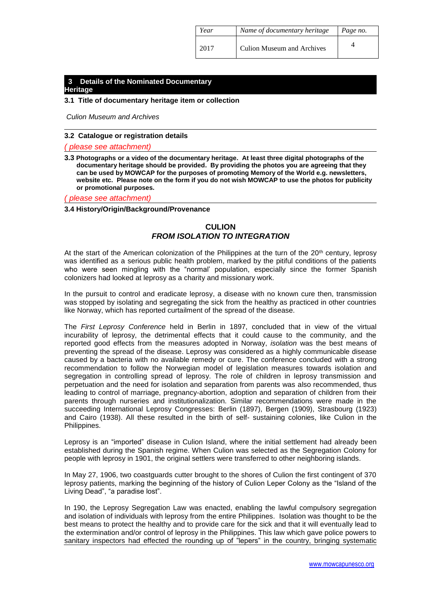| Year | Name of documentary heritage      | Page no. |
|------|-----------------------------------|----------|
| 2017 | <b>Culion Museum and Archives</b> |          |

#### **3 Details of the Nominated Documentary Heritage**

#### **3.1 Title of documentary heritage item or collection**

*Culion Museum and Archives* 

#### **3.2 Catalogue or registration details**

*( please see attachment)*

**3.3 Photographs or a video of the documentary heritage. At least three digital photographs of the documentary heritage should be provided. By providing the photos you are agreeing that they can be used by MOWCAP for the purposes of promoting Memory of the World e.g. newsletters, website etc. Please note on the form if you do not wish MOWCAP to use the photos for publicity or promotional purposes.**

*( please see attachment)*

#### **3.4 History/Origin/Background/Provenance**

## **CULION** *FROM ISOLATION TO INTEGRATION*

At the start of the American colonization of the Philippines at the turn of the 20<sup>th</sup> century, leprosy was identified as a serious public health problem, marked by the pitiful conditions of the patients who were seen mingling with the "normal' population, especially since the former Spanish colonizers had looked at leprosy as a charity and missionary work.

In the pursuit to control and eradicate leprosy, a disease with no known cure then, transmission was stopped by isolating and segregating the sick from the healthy as practiced in other countries like Norway, which has reported curtailment of the spread of the disease.

The *First Leprosy Conference* held in Berlin in 1897, concluded that in view of the virtual incurability of leprosy, the detrimental effects that it could cause to the community, and the reported good effects from the measures adopted in Norway, *isolation* was the best means of preventing the spread of the disease. Leprosy was considered as a highly communicable disease caused by a bacteria with no available remedy or cure. The conference concluded with a strong recommendation to follow the Norwegian model of legislation measures towards isolation and segregation in controlling spread of leprosy. The role of children in leprosy transmission and perpetuation and the need for isolation and separation from parents was also recommended, thus leading to control of marriage, pregnancy-abortion, adoption and separation of children from their parents through nurseries and institutionalization. Similar recommendations were made in the succeeding International Leprosy Congresses: Berlin (1897), Bergen (1909), Strasbourg (1923) and Cairo (1938). All these resulted in the birth of self- sustaining colonies, like Culion in the Philippines.

Leprosy is an "imported" disease in Culion Island, where the initial settlement had already been established during the Spanish regime. When Culion was selected as the Segregation Colony for people with leprosy in 1901, the original settlers were transferred to other neighboring islands.

In May 27, 1906, two coastguards cutter brought to the shores of Culion the first contingent of 370 leprosy patients, marking the beginning of the history of Culion Leper Colony as the "Island of the Living Dead", "a paradise lost".

In 190, the Leprosy Segregation Law was enacted, enabling the lawful compulsory segregation and isolation of individuals with leprosy from the entire Philippines. Isolation was thought to be the best means to protect the healthy and to provide care for the sick and that it will eventually lead to the extermination and/or control of leprosy in the Philippines. This law which gave police powers to sanitary inspectors had effected the rounding up of "lepers" in the country, bringing systematic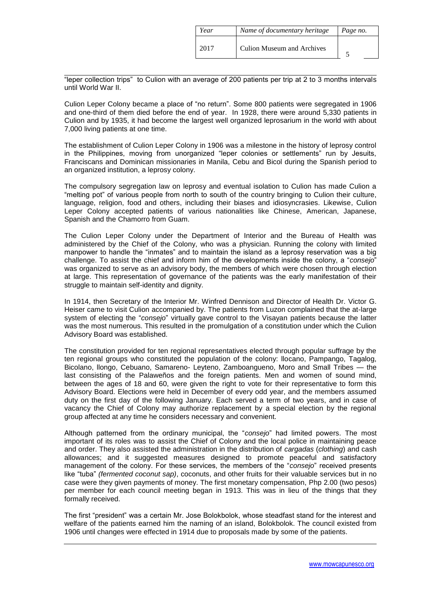| Year | Name of documentary heritage | Page no. |
|------|------------------------------|----------|
| 2017 | Culion Museum and Archives   |          |

"leper collection trips" to Culion with an average of 200 patients per trip at 2 to 3 months intervals until World War II.

Culion Leper Colony became a place of "no return". Some 800 patients were segregated in 1906 and one-third of them died before the end of year. In 1928, there were around 5,330 patients in Culion and by 1935, it had become the largest well organized leprosarium in the world with about 7,000 living patients at one time.

The establishment of Culion Leper Colony in 1906 was a milestone in the history of leprosy control in the Philippines, moving from unorganized "leper colonies or settlements" run by Jesuits, Franciscans and Dominican missionaries in Manila, Cebu and Bicol during the Spanish period to an organized institution, a leprosy colony.

The compulsory segregation law on leprosy and eventual isolation to Culion has made Culion a "melting pot" of various people from north to south of the country bringing to Culion their culture, language, religion, food and others, including their biases and idiosyncrasies. Likewise, Culion Leper Colony accepted patients of various nationalities like Chinese, American, Japanese, Spanish and the Chamorro from Guam.

The Culion Leper Colony under the Department of Interior and the Bureau of Health was administered by the Chief of the Colony, who was a physician. Running the colony with limited manpower to handle the "inmates" and to maintain the island as a leprosy reservation was a big challenge. To assist the chief and inform him of the developments inside the colony, a "*consejo*" was organized to serve as an advisory body, the members of which were chosen through election at large. This representation of governance of the patients was the early manifestation of their struggle to maintain self-identity and dignity.

In 1914, then Secretary of the Interior Mr. Winfred Dennison and Director of Health Dr. Victor G. Heiser came to visit Culion accompanied by. The patients from Luzon complained that the at-large system of electing the "*consejo*" virtually gave control to the Visayan patients because the latter was the most numerous. This resulted in the promulgation of a constitution under which the Culion Advisory Board was established.

The constitution provided for ten regional representatives elected through popular suffrage by the ten regional groups who constituted the population of the colony: llocano, Pampango, Tagalog, Bicolano, llongo, Cebuano, Samareno- Leyteno, Zamboangueno, Moro and Small Tribes — the last consisting of the Palaweños and the foreign patients. Men and women of sound mind, between the ages of 18 and 60, were given the right to vote for their representative to form this Advisory Board. Elections were held in December of every odd year, and the members assumed duty on the first day of the following January. Each served a term of two years, and in case of vacancy the Chief of Colony may authorize replacement by a special election by the regional group affected at any time he considers necessary and convenient.

Although patterned from the ordinary municipal, the "*consejo*" had limited powers. The most important of its roles was to assist the Chief of Colony and the local police in maintaining peace and order. They also assisted the administration in the distribution of *cargadas* (*clothing*) and cash allowances; and it suggested measures designed to promote peaceful and satisfactory management of the colony. For these services, the members of the "*consejo*" received presents like "tuba" *(fermented coconut sap)*, coconuts, and other fruits for their valuable services but in no case were they given payments of money. The first monetary compensation, Php 2.00 (two pesos) per member for each council meeting began in 1913. This was in lieu of the things that they formally received.

The first "president" was a certain Mr. Jose Bolokbolok, whose steadfast stand for the interest and welfare of the patients earned him the naming of an island, Bolokbolok. The council existed from 1906 until changes were effected in 1914 due to proposals made by some of the patients.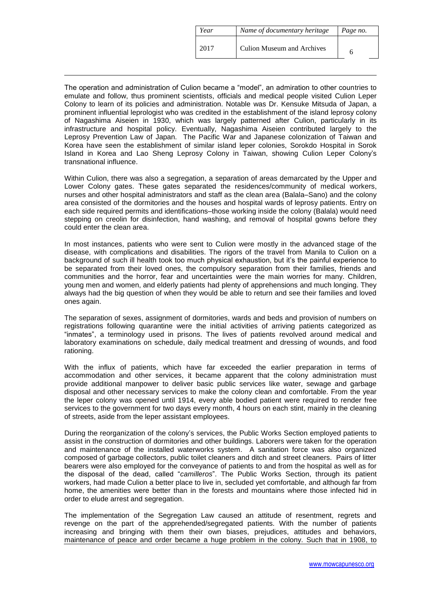| Year | Name of documentary heritage | Page no. |
|------|------------------------------|----------|
| 2017 | Culion Museum and Archives   |          |

The operation and administration of Culion became a "model", an admiration to other countries to emulate and follow, thus prominent scientists, officials and medical people visited Culion Leper Colony to learn of its policies and administration. Notable was Dr. Kensuke Mitsuda of Japan, a prominent influential leprologist who was credited in the establishment of the island leprosy colony of Nagashima Aiseien in 1930, which was largely patterned after Culion, particularly in its infrastructure and hospital policy. Eventually, Nagashima Aiseien contributed largely to the Leprosy Prevention Law of Japan. The Pacific War and Japanese colonization of Taiwan and Korea have seen the establishment of similar island leper colonies, Sorokdo Hospital in Sorok Island in Korea and Lao Sheng Leprosy Colony in Taiwan, showing Culion Leper Colony's transnational influence.

Within Culion, there was also a segregation, a separation of areas demarcated by the Upper and Lower Colony gates. These gates separated the residences/community of medical workers, nurses and other hospital administrators and staff as the clean area (Balala–Sano) and the colony area consisted of the dormitories and the houses and hospital wards of leprosy patients. Entry on each side required permits and identifications–those working inside the colony (Balala) would need stepping on creolin for disinfection, hand washing, and removal of hospital gowns before they could enter the clean area.

In most instances, patients who were sent to Culion were mostly in the advanced stage of the disease, with complications and disabilities. The rigors of the travel from Manila to Culion on a background of such ill health took too much physical exhaustion, but it's the painful experience to be separated from their loved ones, the compulsory separation from their families, friends and communities and the horror, fear and uncertainties were the main worries for many. Children, young men and women, and elderly patients had plenty of apprehensions and much longing. They always had the big question of when they would be able to return and see their families and loved ones again.

The separation of sexes, assignment of dormitories, wards and beds and provision of numbers on registrations following quarantine were the initial activities of arriving patients categorized as "inmates", a terminology used in prisons. The lives of patients revolved around medical and laboratory examinations on schedule, daily medical treatment and dressing of wounds, and food rationing.

With the influx of patients, which have far exceeded the earlier preparation in terms of accommodation and other services, it became apparent that the colony administration must provide additional manpower to deliver basic public services like water, sewage and garbage disposal and other necessary services to make the colony clean and comfortable. From the year the leper colony was opened until 1914, every able bodied patient were required to render free services to the government for two days every month, 4 hours on each stint, mainly in the cleaning of streets, aside from the leper assistant employees.

During the reorganization of the colony's services, the Public Works Section employed patients to assist in the construction of dormitories and other buildings. Laborers were taken for the operation and maintenance of the installed waterworks system. A sanitation force was also organized composed of garbage collectors, public toilet cleaners and ditch and street cleaners. Pairs of litter bearers were also employed for the conveyance of patients to and from the hospital as well as for the disposal of the dead, called "*camilleros*". The Public Works Section, through its patient workers, had made Culion a better place to live in, secluded yet comfortable, and although far from home, the amenities were better than in the forests and mountains where those infected hid in order to elude arrest and segregation.

The implementation of the Segregation Law caused an attitude of resentment, regrets and revenge on the part of the apprehended/segregated patients. With the number of patients increasing and bringing with them their own biases, prejudices, attitudes and behaviors, maintenance of peace and order became a huge problem in the colony. Such that in 1908, to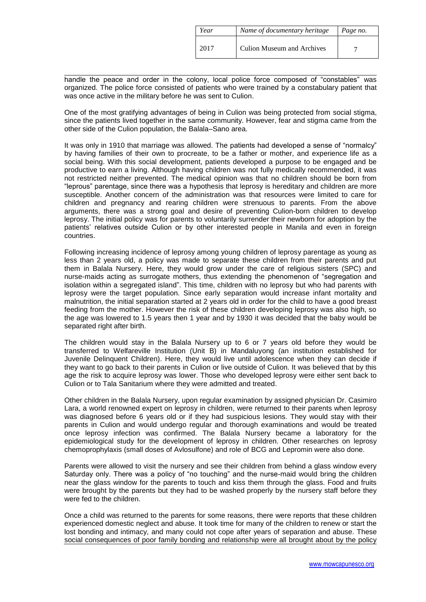| Year | Name of documentary heritage | Page no. |
|------|------------------------------|----------|
| 2017 | Culion Museum and Archives   |          |

handle the peace and order in the colony, local police force composed of "constables" was organized. The police force consisted of patients who were trained by a constabulary patient that was once active in the military before he was sent to Culion.

One of the most gratifying advantages of being in Culion was being protected from social stigma, since the patients lived together in the same community. However, fear and stigma came from the other side of the Culion population, the Balala–Sano area.

It was only in 1910 that marriage was allowed. The patients had developed a sense of "normalcy" by having families of their own to procreate, to be a father or mother, and experience life as a social being. With this social development, patients developed a purpose to be engaged and be productive to earn a living. Although having children was not fully medically recommended, it was not restricted neither prevented. The medical opinion was that no children should be born from "leprous" parentage, since there was a hypothesis that leprosy is hereditary and children are more susceptible. Another concern of the administration was that resources were limited to care for children and pregnancy and rearing children were strenuous to parents. From the above arguments, there was a strong goal and desire of preventing Culion-born children to develop leprosy. The initial policy was for parents to voluntarily surrender their newborn for adoption by the patients' relatives outside Culion or by other interested people in Manila and even in foreign countries.

Following increasing incidence of leprosy among young children of leprosy parentage as young as less than 2 years old, a policy was made to separate these children from their parents and put them in Balala Nursery. Here, they would grow under the care of religious sisters (SPC) and nurse-maids acting as surrogate mothers, thus extending the phenomenon of "segregation and isolation within a segregated island". This time, children with no leprosy but who had parents with leprosy were the target population. Since early separation would increase infant mortality and malnutrition, the initial separation started at 2 years old in order for the child to have a good breast feeding from the mother. However the risk of these children developing leprosy was also high, so the age was lowered to 1.5 years then 1 year and by 1930 it was decided that the baby would be separated right after birth.

The children would stay in the Balala Nursery up to 6 or 7 years old before they would be transferred to Welfareville Institution (Unit B) in Mandaluyong (an institution established for Juvenile Delinquent Children). Here, they would live until adolescence when they can decide if they want to go back to their parents in Culion or live outside of Culion. It was believed that by this age the risk to acquire leprosy was lower. Those who developed leprosy were either sent back to Culion or to Tala Sanitarium where they were admitted and treated.

Other children in the Balala Nursery, upon regular examination by assigned physician Dr. Casimiro Lara, a world renowned expert on leprosy in children, were returned to their parents when leprosy was diagnosed before 6 years old or if they had suspicious lesions. They would stay with their parents in Culion and would undergo regular and thorough examinations and would be treated once leprosy infection was confirmed. The Balala Nursery became a laboratory for the epidemiological study for the development of leprosy in children. Other researches on leprosy chemoprophylaxis (small doses of Avlosulfone) and role of BCG and Lepromin were also done.

Parents were allowed to visit the nursery and see their children from behind a glass window every Saturday only. There was a policy of "no touching" and the nurse-maid would bring the children near the glass window for the parents to touch and kiss them through the glass. Food and fruits were brought by the parents but they had to be washed properly by the nursery staff before they were fed to the children.

Once a child was returned to the parents for some reasons, there were reports that these children experienced domestic neglect and abuse. It took time for many of the children to renew or start the lost bonding and intimacy, and many could not cope after years of separation and abuse. These social consequences of poor family bonding and relationship were all brought about by the policy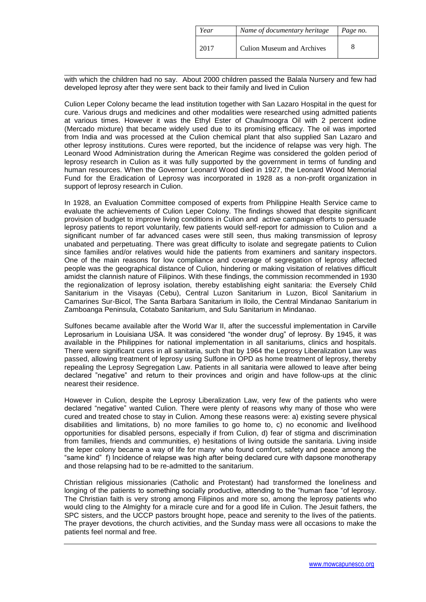| Year | Name of documentary heritage      | Page no. |
|------|-----------------------------------|----------|
| 2017 | <b>Culion Museum and Archives</b> |          |

with which the children had no say. About 2000 children passed the Balala Nursery and few had developed leprosy after they were sent back to their family and lived in Culion

Culion Leper Colony became the lead institution together with San Lazaro Hospital in the quest for cure. Various drugs and medicines and other modalities were researched using admitted patients at various times. However it was the Ethyl Ester of Chaulmoogra Oil with 2 percent iodine (Mercado mixture) that became widely used due to its promising efficacy. The oil was imported from India and was processed at the Culion chemical plant that also supplied San Lazaro and other leprosy institutions. Cures were reported, but the incidence of relapse was very high. The Leonard Wood Administration during the American Regime was considered the golden period of leprosy research in Culion as it was fully supported by the government in terms of funding and human resources. When the Governor Leonard Wood died in 1927, the Leonard Wood Memorial Fund for the Eradication of Leprosy was incorporated in 1928 as a non-profit organization in support of leprosy research in Culion.

In 1928, an Evaluation Committee composed of experts from Philippine Health Service came to evaluate the achievements of Culion Leper Colony. The findings showed that despite significant provision of budget to improve living conditions in Culion and active campaign efforts to persuade leprosy patients to report voluntarily, few patients would self-report for admission to Culion and a significant number of far advanced cases were still seen, thus making transmission of leprosy unabated and perpetuating. There was great difficulty to isolate and segregate patients to Culion since families and/or relatives would hide the patients from examiners and sanitary inspectors. One of the main reasons for low compliance and coverage of segregation of leprosy affected people was the geographical distance of Culion, hindering or making visitation of relatives difficult amidst the clannish nature of Filipinos. With these findings, the commission recommended in 1930 the regionalization of leprosy isolation, thereby establishing eight sanitaria: the Eversely Child Sanitarium in the Visayas (Cebu), Central Luzon Sanitarium in Luzon, Bicol Sanitarium in Camarines Sur-Bicol, The Santa Barbara Sanitarium in Iloilo, the Central Mindanao Sanitarium in Zamboanga Peninsula, Cotabato Sanitarium, and Sulu Sanitarium in Mindanao.

Sulfones became available after the World War II, after the successful implementation in Carville Leprosarium in Louisiana USA. It was considered "the wonder drug" of leprosy. By 1945, it was available in the Philippines for national implementation in all sanitariums, clinics and hospitals. There were significant cures in all sanitaria, such that by 1964 the Leprosy Liberalization Law was passed, allowing treatment of leprosy using Sulfone in OPD as home treatment of leprosy, thereby repealing the Leprosy Segregation Law. Patients in all sanitaria were allowed to leave after being declared "negative" and return to their provinces and origin and have follow-ups at the clinic nearest their residence.

However in Culion, despite the Leprosy Liberalization Law, very few of the patients who were declared "negative" wanted Culion. There were plenty of reasons why many of those who were cured and treated chose to stay in Culion. Among these reasons were: a) existing severe physical disabilities and limitations, b) no more families to go home to, c) no economic and livelihood opportunities for disabled persons, especially if from Culion, d) fear of stigma and discrimination from families, friends and communities, e) hesitations of living outside the sanitaria. Living inside the leper colony became a way of life for many who found comfort, safety and peace among the "same kind" f) Incidence of relapse was high after being declared cure with dapsone monotherapy and those relapsing had to be re-admitted to the sanitarium.

Christian religious missionaries (Catholic and Protestant) had transformed the loneliness and longing of the patients to something socially productive, attending to the "human face "of leprosy. The Christian faith is very strong among Filipinos and more so, among the leprosy patients who would cling to the Almighty for a miracle cure and for a good life in Culion. The Jesuit fathers, the SPC sisters, and the UCCP pastors brought hope, peace and serenity to the lives of the patients. The prayer devotions, the church activities, and the Sunday mass were all occasions to make the patients feel normal and free.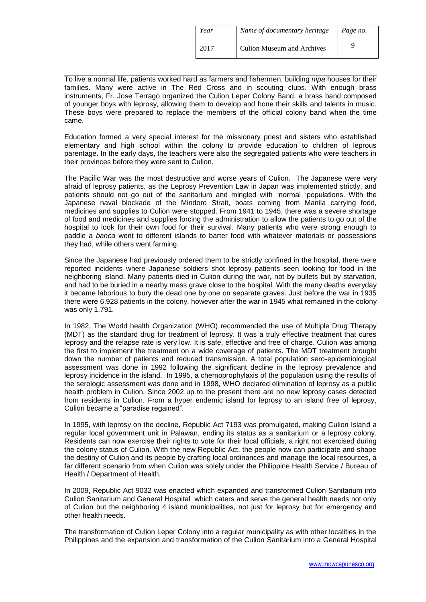| Year | Name of documentary heritage      | Page no. |
|------|-----------------------------------|----------|
| 2017 | <b>Culion Museum and Archives</b> |          |

To live a normal life, patients worked hard as farmers and fishermen, building *nipa* houses for their families. Many were active in The Red Cross and in scouting clubs. With enough brass instruments, Fr. Jose Terrago organized the Culion Leper Colony Band, a brass band composed of younger boys with leprosy, allowing them to develop and hone their skills and talents in music. These boys were prepared to replace the members of the official colony band when the time came.

Education formed a very special interest for the missionary priest and sisters who established elementary and high school within the colony to provide education to children of leprous parentage. In the early days, the teachers were also the segregated patients who were teachers in their provinces before they were sent to Culion.

The Pacific War was the most destructive and worse years of Culion. The Japanese were very afraid of leprosy patients, as the Leprosy Prevention Law in Japan was implemented strictly, and patients should not go out of the sanitarium and mingled with "normal "populations. With the Japanese naval blockade of the Mindoro Strait, boats coming from Manila carrying food, medicines and supplies to Culion were stopped. From 1941 to 1945, there was a severe shortage of food and medicines and supplies forcing the administration to allow the patients to go out of the hospital to look for their own food for their survival. Many patients who were strong enough to paddle a *banca* went to different islands to barter food with whatever materials or possessions they had, while others went farming.

Since the Japanese had previously ordered them to be strictly confined in the hospital, there were reported incidents where Japanese soldiers shot leprosy patients seen looking for food in the neighboring island. Many patients died in Culion during the war, not by bullets but by starvation, and had to be buried in a nearby mass grave close to the hospital. With the many deaths everyday it became laborious to bury the dead one by one on separate graves. Just before the war in 1935 there were 6,928 patients in the colony, however after the war in 1945 what remained in the colony was only 1,791.

In 1982, The World health Organization (WHO) recommended the use of Multiple Drug Therapy (MDT) as the standard drug for treatment of leprosy. It was a truly effective treatment that cures leprosy and the relapse rate is very low. It is safe, effective and free of charge. Culion was among the first to implement the treatment on a wide coverage of patients. The MDT treatment brought down the number of patients and reduced transmission. A total population sero-epidemiological assessment was done in 1992 following the significant decline in the leprosy prevalence and leprosy incidence in the island. In 1995, a chemoprophylaxis of the population using the results of the serologic assessment was done and in 1998, WHO declared elimination of leprosy as a public health problem in Culion. Since 2002 up to the present there are no new leprosy cases detected from residents in Culion. From a hyper endemic island for leprosy to an island free of leprosy, Culion became a "paradise regained".

In 1995, with leprosy on the decline, Republic Act 7193 was promulgated, making Culion Island a regular local government unit in Palawan, ending its status as a sanitarium or a leprosy colony. Residents can now exercise their rights to vote for their local officials, a right not exercised during the colony status of Culion. With the new Republic Act, the people now can participate and shape the destiny of Culion and its people by crafting local ordinances and manage the local resources, a far different scenario from when Culion was solely under the Philippine Health Service / Bureau of Health / Department of Health.

In 2009, Republic Act 9032 was enacted which expanded and transformed Culion Sanitarium into Culion Sanitarium and General Hospital which caters and serve the general health needs not only of Culion but the neighboring 4 island municipalities, not just for leprosy but for emergency and other health needs.

The transformation of Culion Leper Colony into a regular municipality as with other localities in the Philippines and the expansion and transformation of the Culion Sanitarium into a General Hospital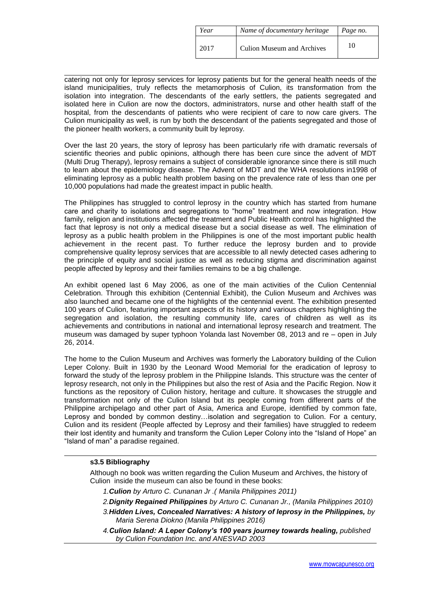| Year | Name of documentary heritage      | Page no. |
|------|-----------------------------------|----------|
| 2017 | <b>Culion Museum and Archives</b> | 10       |

catering not only for leprosy services for leprosy patients but for the general health needs of the island municipalities, truly reflects the metamorphosis of Culion, its transformation from the isolation into integration. The descendants of the early settlers, the patients segregated and isolated here in Culion are now the doctors, administrators, nurse and other health staff of the hospital, from the descendants of patients who were recipient of care to now care givers. The Culion municipality as well, is run by both the descendant of the patients segregated and those of the pioneer health workers, a community built by leprosy.

Over the last 20 years, the story of leprosy has been particularly rife with dramatic reversals of scientific theories and public opinions, although there has been cure since the advent of MDT (Multi Drug Therapy), leprosy remains a subject of considerable ignorance since there is still much to learn about the epidemiology disease. The Advent of MDT and the WHA resolutions in1998 of eliminating leprosy as a public health problem basing on the prevalence rate of less than one per 10,000 populations had made the greatest impact in public health.

The Philippines has struggled to control leprosy in the country which has started from humane care and charity to isolations and segregations to "home" treatment and now integration. How family, religion and institutions affected the treatment and Public Health control has highlighted the fact that leprosy is not only a medical disease but a social disease as well. The elimination of leprosy as a public health problem in the Philippines is one of the most important public health achievement in the recent past. To further reduce the leprosy burden and to provide comprehensive quality leprosy services that are accessible to all newly detected cases adhering to the principle of equity and social justice as well as reducing stigma and discrimination against people affected by leprosy and their families remains to be a big challenge.

An exhibit opened last 6 May 2006, as one of the main activities of the Culion Centennial Celebration. Through this exhibition (Centennial Exhibit), the Culion Museum and Archives was also launched and became one of the highlights of the centennial event. The exhibition presented 100 years of Culion, featuring important aspects of its history and various chapters highlighting the segregation and isolation, the resulting community life, cares of children as well as its achievements and contributions in national and international leprosy research and treatment. The museum was damaged by super typhoon Yolanda last November 08, 2013 and re – open in July 26, 2014.

The home to the Culion Museum and Archives was formerly the Laboratory building of the Culion Leper Colony. Built in 1930 by the Leonard Wood Memorial for the eradication of leprosy to forward the study of the leprosy problem in the Philippine Islands. This structure was the center of leprosy research, not only in the Philippines but also the rest of Asia and the Pacific Region. Now it functions as the repository of Culion history, heritage and culture. It showcases the struggle and transformation not only of the Culion Island but its people coming from different parts of the Philippine archipelago and other part of Asia, America and Europe, identified by common fate, Leprosy and bonded by common destiny…isolation and segregation to Culion. For a century, Culion and its resident (People affected by Leprosy and their families) have struggled to redeem their lost identity and humanity and transform the Culion Leper Colony into the "Island of Hope" an "Island of man" a paradise regained.

## **s3.5 Bibliography**

Although no book was written regarding the Culion Museum and Archives, the history of Culion inside the museum can also be found in these books:

- *1.Culion by Arturo C. Cunanan Jr .( Manila Philippines 2011)*
- *2.Dignity Regained Philippines by Arturo C. Cunanan Jr., (Manila Philippines 2010)*
- *3.Hidden Lives, Concealed Narratives: A history of leprosy in the Philippines, by Maria Serena Diokno (Manila Philippines 2016)*
- *4.Culion Island: A Leper Colony's 100 years journey towards healing, published by Culion Foundation Inc. and ANESVAD 2003*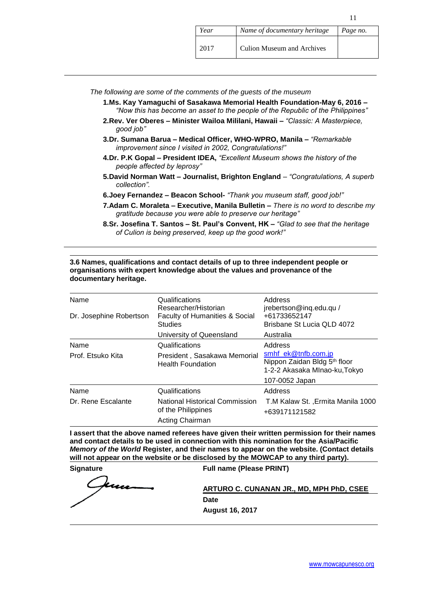| Year | Name of documentary heritage      | Page no. |
|------|-----------------------------------|----------|
| 2017 | <b>Culion Museum and Archives</b> |          |

- *The following are some of the comments of the guests of the museum*
	- **1.Ms. Kay Yamaguchi of Sasakawa Memorial Health Foundation-May 6, 2016 –** *"Now this has become an asset to the people of the Republic of the Philippines"*
	- **2.Rev. Ver Oberes – Minister Wailoa Mililani, Hawaii –** *"Classic: A Masterpiece, good job"*
	- **3.Dr. Sumana Barua – Medical Officer, WHO-WPRO, Manila –** *"Remarkable improvement since I visited in 2002, Congratulations!"*
	- **4.Dr. P.K Gopal – President IDEA,** *"Excellent Museum shows the history of the people affected by leprosy"*
	- **5.David Norman Watt – Journalist, Brighton England** *– "Congratulations, A superb collection".*
	- **6.Joey Fernandez – Beacon School-** *"Thank you museum staff, good job!"*
	- **7.Adam C. Moraleta – Executive, Manila Bulletin –** *There is no word to describe my gratitude because you were able to preserve our heritage"*
	- **8.Sr. Josefina T. Santos – St. Paul's Convent, HK –** *"Glad to see that the heritage of Culion is being preserved, keep up the good work!"*

#### **3.6 Names, qualifications and contact details of up to three independent people or organisations with expert knowledge about the values and provenance of the documentary heritage.**

| Name<br>Dr. Josephine Robertson | Qualifications<br>Researcher/Historian<br>Faculty of Humanities & Social<br><b>Studies</b> | Address<br>jrebertson@inq.edu.qu /<br>+61733652147<br>Brisbane St Lucia QLD 4072                                  |
|---------------------------------|--------------------------------------------------------------------------------------------|-------------------------------------------------------------------------------------------------------------------|
|                                 | University of Queensland                                                                   | Australia                                                                                                         |
| Name<br>Prof. Etsuko Kita       | Qualifications<br>President, Sasakawa Memorial<br><b>Health Foundation</b>                 | Address<br>smhf_ek@tnfb.com.jp<br>Nippon Zaidan Bldg 5th floor<br>1-2-2 Akasaka Mlnao-ku, Tokyo<br>107-0052 Japan |
| Name                            | Qualifications                                                                             | Address                                                                                                           |
| Dr. Rene Escalante              | National Historical Commission<br>of the Philippines<br>Acting Chairman                    | T.M Kalaw St., Ermita Manila 1000<br>+639171121582                                                                |

**I assert that the above named referees have given their written permission for their names and contact details to be used in connection with this nomination for the Asia/Pacific**  *Memory of the World* **Register, and their names to appear on the website. (Contact details will not appear on the website or be disclosed by the MOWCAP to any third party).**

kuu

**Signature Full name (Please PRINT)**

**ARTURO C. CUNANAN JR., MD, MPH PhD, CSEE Date August 16, 2017**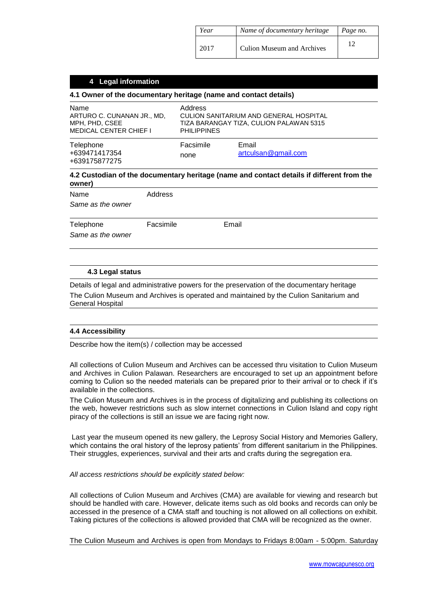| Year | Name of documentary heritage      | Page no. |
|------|-----------------------------------|----------|
| 2017 | <b>Culion Museum and Archives</b> |          |

## **4 Legal information**

## **4.1 Owner of the documentary heritage (name and contact details)**

| Name<br>ARTURO C. CUNANAN JR., MD.<br>MPH, PHD, CSEE<br><b>MEDICAL CENTER CHIEF I</b> | Address<br><b>PHILIPPINES</b> | CULION SANITARIUM AND GENERAL HOSPITAL<br>TIZA BARANGAY TIZA, CULION PALAWAN 5315 |
|---------------------------------------------------------------------------------------|-------------------------------|-----------------------------------------------------------------------------------|
| Telephone<br>+639471417354<br>+639175877275                                           | Facsimile<br>none             | Email<br>artculsan@gmail.com                                                      |

## **4.2 Custodian of the documentary heritage (name and contact details if different from the owner)**

| Name<br>Same as the owner      | Address   |       |  |
|--------------------------------|-----------|-------|--|
| Telephone<br>Same as the owner | Facsimile | Email |  |

#### **4.3 Legal status**

Details of legal and administrative powers for the preservation of the documentary heritage The Culion Museum and Archives is operated and maintained by the Culion Sanitarium and General Hospital

## **4.4 Accessibility**

Describe how the item(s) / collection may be accessed

All collections of Culion Museum and Archives can be accessed thru visitation to Culion Museum and Archives in Culion Palawan. Researchers are encouraged to set up an appointment before coming to Culion so the needed materials can be prepared prior to their arrival or to check if it's available in the collections.

The Culion Museum and Archives is in the process of digitalizing and publishing its collections on the web, however restrictions such as slow internet connections in Culion Island and copy right piracy of the collections is still an issue we are facing right now.

Last year the museum opened its new gallery, the Leprosy Social History and Memories Gallery, which contains the oral history of the leprosy patients' from different sanitarium in the Philippines. Their struggles, experiences, survival and their arts and crafts during the segregation era.

#### *All access restrictions should be explicitly stated below:*

All collections of Culion Museum and Archives (CMA) are available for viewing and research but should be handled with care. However, delicate items such as old books and records can only be accessed in the presence of a CMA staff and touching is not allowed on all collections on exhibit. Taking pictures of the collections is allowed provided that CMA will be recognized as the owner.

The Culion Museum and Archives is open from Mondays to Fridays 8:00am - 5:00pm. Saturday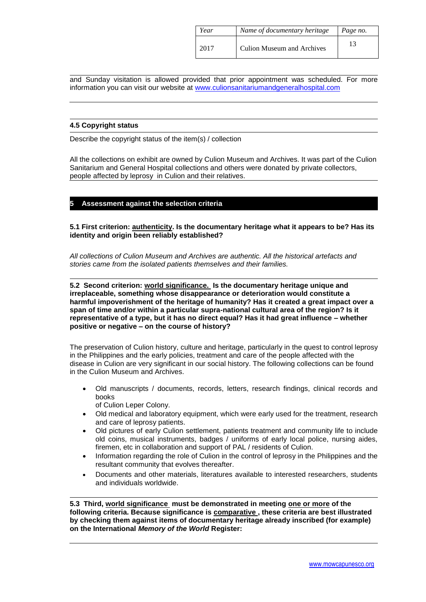| Year | Name of documentary heritage      | Page no. |
|------|-----------------------------------|----------|
| 2017 | <b>Culion Museum and Archives</b> |          |

and Sunday visitation is allowed provided that prior appointment was scheduled. For more information you can visit our website at [www.culionsanitariumandgeneralhospital.com](http://www.culionsanitariumandgeneralhospital.com/)

#### **4.5 Copyright status**

Describe the copyright status of the item(s) / collection

All the collections on exhibit are owned by Culion Museum and Archives. It was part of the Culion Sanitarium and General Hospital collections and others were donated by private collectors, people affected by leprosy in Culion and their relatives.

## **5 Assessment against the selection criteria**

**5.1 First criterion: authenticity. Is the documentary heritage what it appears to be? Has its identity and origin been reliably established?** 

*All collections of Culion Museum and Archives are authentic. All the historical artefacts and stories came from the isolated patients themselves and their families.* 

**5.2 Second criterion: world significance. Is the documentary heritage unique and irreplaceable, something whose disappearance or deterioration would constitute a harmful impoverishment of the heritage of humanity? Has it created a great impact over a span of time and/or within a particular supra-national cultural area of the region? Is it representative of a type, but it has no direct equal? Has it had great influence – whether positive or negative – on the course of history?**

The preservation of Culion history, culture and heritage, particularly in the quest to control leprosy in the Philippines and the early policies, treatment and care of the people affected with the disease in Culion are very significant in our social history. The following collections can be found in the Culion Museum and Archives.

- Old manuscripts / documents, records, letters, research findings, clinical records and books
	- of Culion Leper Colony.
- Old medical and laboratory equipment, which were early used for the treatment, research and care of leprosy patients.
- Old pictures of early Culion settlement, patients treatment and community life to include old coins, musical instruments, badges / uniforms of early local police, nursing aides, firemen, etc in collaboration and support of PAL / residents of Culion.
- Information regarding the role of Culion in the control of leprosy in the Philippines and the resultant community that evolves thereafter.
- Documents and other materials, literatures available to interested researchers, students and individuals worldwide.

**5.3 Third, world significance must be demonstrated in meeting one or more of the following criteria. Because significance is comparative , these criteria are best illustrated by checking them against items of documentary heritage already inscribed (for example) on the International** *Memory of the World* **Register:**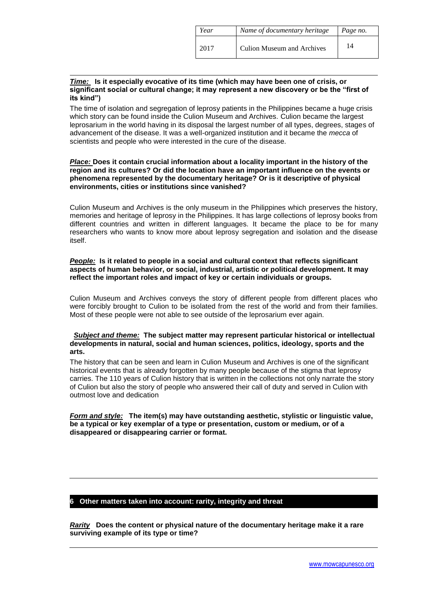| Year | Name of documentary heritage      | Page no. |
|------|-----------------------------------|----------|
| 2017 | <b>Culion Museum and Archives</b> | 14       |

## *Time:* **Is it especially evocative of its time (which may have been one of crisis, or significant social or cultural change; it may represent a new discovery or be the "first of its kind")**

The time of isolation and segregation of leprosy patients in the Philippines became a huge crisis which story can be found inside the Culion Museum and Archives. Culion became the largest leprosarium in the world having in its disposal the largest number of all types, degrees, stages of advancement of the disease. It was a well-organized institution and it became the *mecca* of scientists and people who were interested in the cure of the disease.

### *Place:* **Does it contain crucial information about a locality important in the history of the region and its cultures? Or did the location have an important influence on the events or phenomena represented by the documentary heritage? Or is it descriptive of physical environments, cities or institutions since vanished?**

Culion Museum and Archives is the only museum in the Philippines which preserves the history, memories and heritage of leprosy in the Philippines. It has large collections of leprosy books from different countries and written in different languages. It became the place to be for many researchers who wants to know more about leprosy segregation and isolation and the disease itself.

## *People:* **Is it related to people in a social and cultural context that reflects significant aspects of human behavior, or social, industrial, artistic or political development. It may reflect the important roles and impact of key or certain individuals or groups.**

Culion Museum and Archives conveys the story of different people from different places who were forcibly brought to Culion to be isolated from the rest of the world and from their families. Most of these people were not able to see outside of the leprosarium ever again.

## *Subject and theme:* **The subject matter may represent particular historical or intellectual developments in natural, social and human sciences, politics, ideology, sports and the arts.**

The history that can be seen and learn in Culion Museum and Archives is one of the significant historical events that is already forgotten by many people because of the stigma that leprosy carries. The 110 years of Culion history that is written in the collections not only narrate the story of Culion but also the story of people who answered their call of duty and served in Culion with outmost love and dedication

*Form and style:* **The item(s) may have outstanding aesthetic, stylistic or linguistic value, be a typical or key exemplar of a type or presentation, custom or medium, or of a disappeared or disappearing carrier or format.** 

## **6 Other matters taken into account: rarity, integrity and threat**

*Rarity* **Does the content or physical nature of the documentary heritage make it a rare surviving example of its type or time?**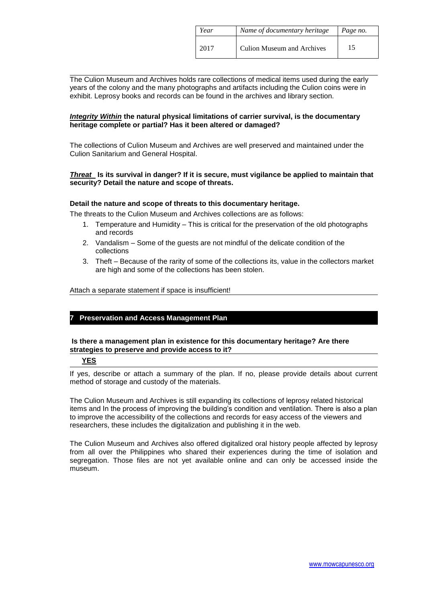| Year | Name of documentary heritage      | Page no. |
|------|-----------------------------------|----------|
| 2017 | <b>Culion Museum and Archives</b> | 15       |

The Culion Museum and Archives holds rare collections of medical items used during the early years of the colony and the many photographs and artifacts including the Culion coins were in exhibit. Leprosy books and records can be found in the archives and library section.

## *Integrity Within* **the natural physical limitations of carrier survival, is the documentary heritage complete or partial? Has it been altered or damaged?**

The collections of Culion Museum and Archives are well preserved and maintained under the Culion Sanitarium and General Hospital.

## *Threat* **Is its survival in danger? If it is secure, must vigilance be applied to maintain that security? Detail the nature and scope of threats.**

## **Detail the nature and scope of threats to this documentary heritage.**

The threats to the Culion Museum and Archives collections are as follows:

- 1. Temperature and Humidity This is critical for the preservation of the old photographs and records
- 2. Vandalism Some of the guests are not mindful of the delicate condition of the collections
- 3. Theft Because of the rarity of some of the collections its, value in the collectors market are high and some of the collections has been stolen.

Attach a separate statement if space is insufficient!

## **7 Preservation and Access Management Plan**

## **Is there a management plan in existence for this documentary heritage? Are there strategies to preserve and provide access to it?**

#### **YES**

If yes, describe or attach a summary of the plan. If no, please provide details about current method of storage and custody of the materials.

The Culion Museum and Archives is still expanding its collections of leprosy related historical items and In the process of improving the building's condition and ventilation. There is also a plan to improve the accessibility of the collections and records for easy access of the viewers and researchers, these includes the digitalization and publishing it in the web.

The Culion Museum and Archives also offered digitalized oral history people affected by leprosy from all over the Philippines who shared their experiences during the time of isolation and segregation. Those files are not yet available online and can only be accessed inside the museum.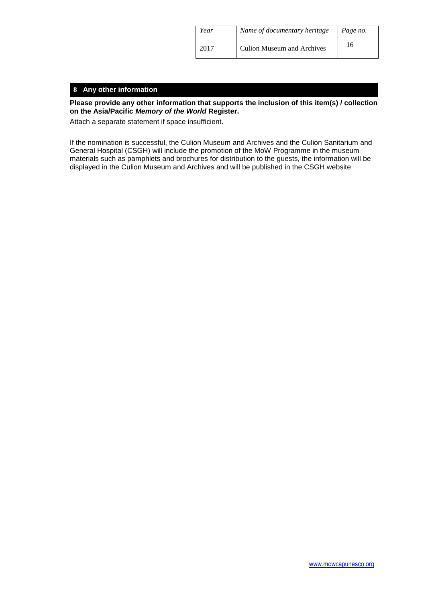| Year | Name of documentary heritage | Page no. |
|------|------------------------------|----------|
| 2017 | Culion Museum and Archives   | 16       |

## **8 Any other information**

## **Please provide any other information that supports the inclusion of this item(s) / collection on the Asia/Pacific** *Memory of the World* **Register.**

Attach a separate statement if space insufficient.

If the nomination is successful, the Culion Museum and Archives and the Culion Sanitarium and General Hospital (CSGH) will include the promotion of the MoW Programme in the museum materials such as pamphlets and brochures for distribution to the guests, the information will be displayed in the Culion Museum and Archives and will be published in the CSGH website